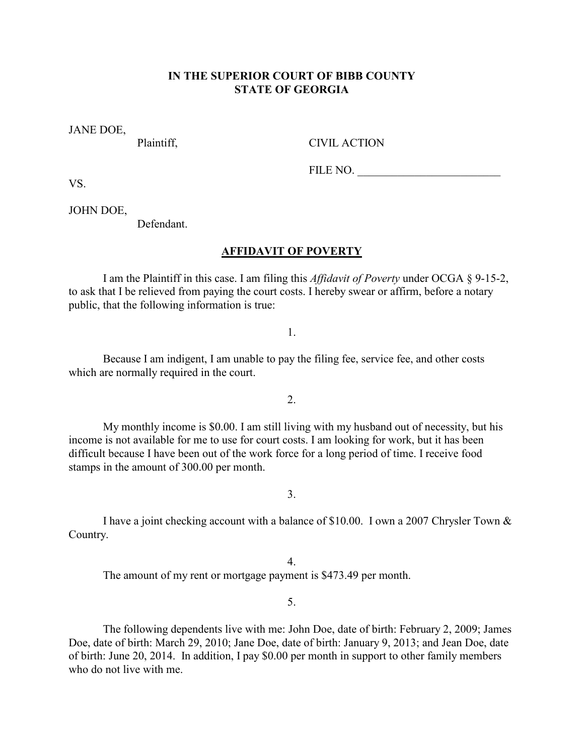## **IN THE SUPERIOR COURT OF BIBB COUNTY STATE OF GEORGIA**

JANE DOE,

Plaintiff. CIVIL ACTION

FILE NO.

VS.

JOHN DOE,

Defendant.

## **AFFIDAVIT OF POVERTY**

 I am the Plaintiff in this case. I am filing this *Affidavit of Poverty* under OCGA § 9-15-2, to ask that I be relieved from paying the court costs. I hereby swear or affirm, before a notary public, that the following information is true:

1.

 Because I am indigent, I am unable to pay the filing fee, service fee, and other costs which are normally required in the court.

2.

 My monthly income is \$0.00. I am still living with my husband out of necessity, but his income is not available for me to use for court costs. I am looking for work, but it has been difficult because I have been out of the work force for a long period of time. I receive food stamps in the amount of 300.00 per month.

3.

 I have a joint checking account with a balance of \$10.00. I own a 2007 Chrysler Town & Country.

4. The amount of my rent or mortgage payment is \$473.49 per month.

5.

 The following dependents live with me: John Doe, date of birth: February 2, 2009; James Doe, date of birth: March 29, 2010; Jane Doe, date of birth: January 9, 2013; and Jean Doe, date of birth: June 20, 2014. In addition, I pay \$0.00 per month in support to other family members who do not live with me.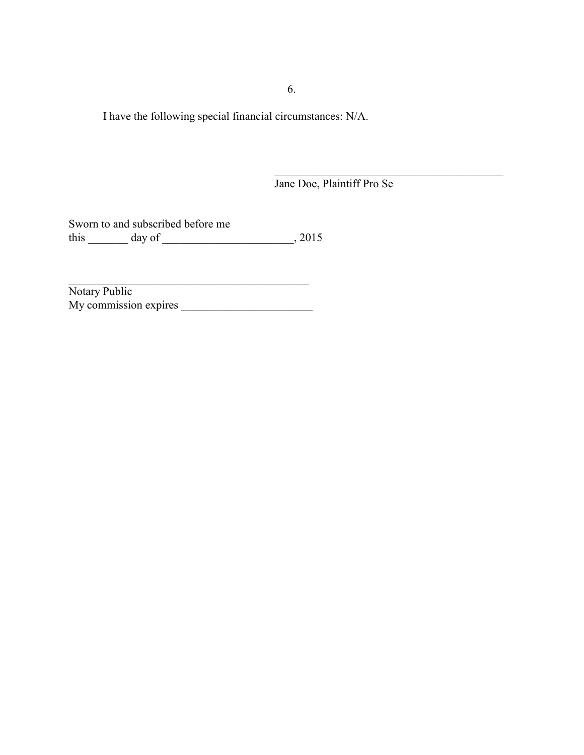6.

 $\mathcal{L}_\text{max}$  and  $\mathcal{L}_\text{max}$  and  $\mathcal{L}_\text{max}$  and  $\mathcal{L}_\text{max}$  and  $\mathcal{L}_\text{max}$  and  $\mathcal{L}_\text{max}$ 

I have the following special financial circumstances: N/A.

 $\_$ 

Jane Doe, Plaintiff Pro Se

Sworn to and subscribed before me this  $\frac{1}{\text{day of}}$  day of  $\frac{1}{\text{day}}$ , 2015

Notary Public My commission expires \_\_\_\_\_\_\_\_\_\_\_\_\_\_\_\_\_\_\_\_\_\_\_